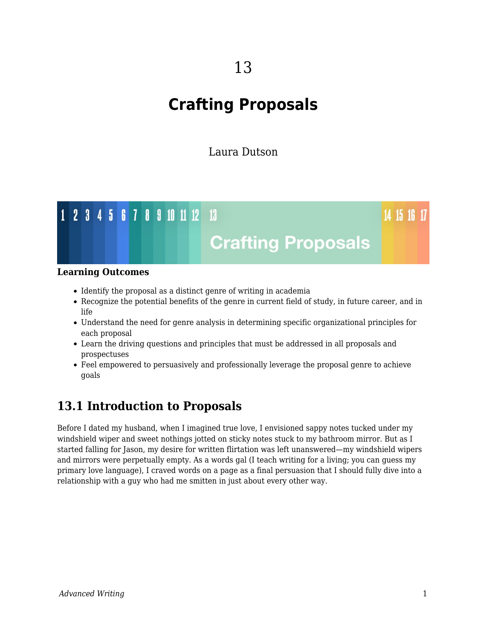# **Crafting Proposals**

Laura Dutson



#### **Learning Outcomes**

- Identify the proposal as a distinct genre of writing in academia
- Recognize the potential benefits of the genre in current field of study, in future career, and in life
- Understand the need for genre analysis in determining specific organizational principles for each proposal
- Learn the driving questions and principles that must be addressed in all proposals and prospectuses
- Feel empowered to persuasively and professionally leverage the proposal genre to achieve goals

# **13.1 Introduction to Proposals**

Before I dated my husband, when I imagined true love, I envisioned sappy notes tucked under my windshield wiper and sweet nothings jotted on sticky notes stuck to my bathroom mirror. But as I started falling for Jason, my desire for written flirtation was left unanswered—my windshield wipers and mirrors were perpetually empty. As a words gal (I teach writing for a living; you can guess my primary love language), I craved words on a page as a final persuasion that I should fully dive into a relationship with a guy who had me smitten in just about every other way.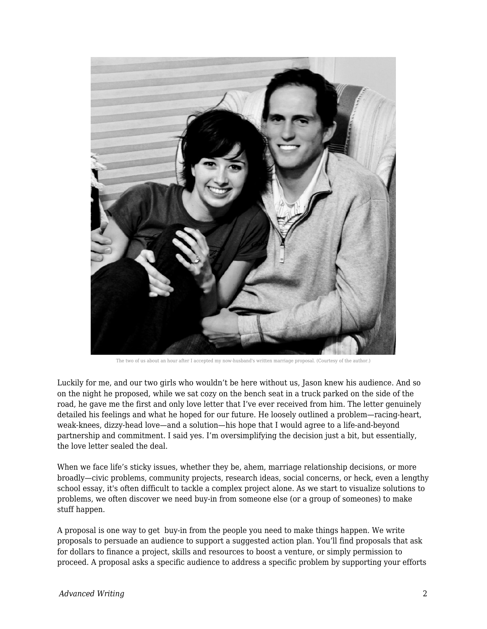

The two of us about an hour after I accepted my now-husband's written marriage proposal. (Courtesy of the author.)

Luckily for me, and our two girls who wouldn't be here without us, Jason knew his audience. And so on the night he proposed, while we sat cozy on the bench seat in a truck parked on the side of the road, he gave me the first and only love letter that I've ever received from him. The letter genuinely detailed his feelings and what he hoped for our future. He loosely outlined a problem—racing-heart, weak-knees, dizzy-head love—and a solution—his hope that I would agree to a life-and-beyond partnership and commitment. I said yes. I'm oversimplifying the decision just a bit, but essentially, the love letter sealed the deal.

When we face life's sticky issues, whether they be, ahem, marriage relationship decisions, or more broadly—civic problems, community projects, research ideas, social concerns, or heck, even a lengthy school essay, it's often difficult to tackle a complex project alone. As we start to visualize solutions to problems, we often discover we need buy-in from someone else (or a group of someones) to make stuff happen.

A proposal is one way to get buy-in from the people you need to make things happen. We write proposals to persuade an audience to support a suggested action plan. You'll find proposals that ask for dollars to finance a project, skills and resources to boost a venture, or simply permission to proceed. A proposal asks a specific audience to address a specific problem by supporting your efforts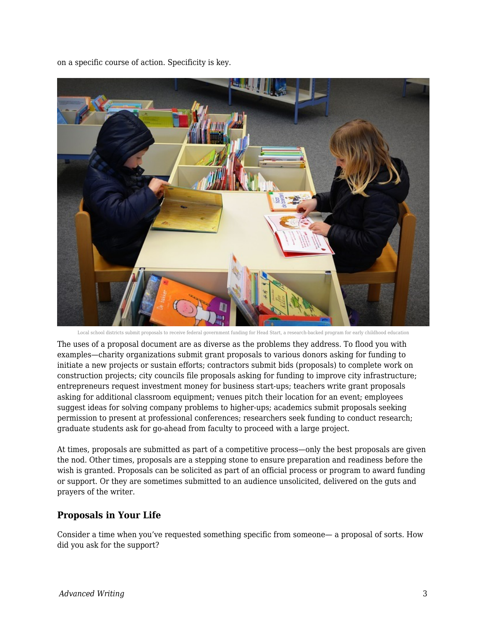on a specific course of action. Specificity is key.



Local school districts submit proposals to receive federal government funding for Head Start, a research-backed program for early childhood education

The uses of a proposal document are as diverse as the problems they address. To flood you with examples—charity organizations submit grant proposals to various donors asking for funding to initiate a new projects or sustain efforts; contractors submit bids (proposals) to complete work on construction projects; city councils file proposals asking for funding to improve city infrastructure; entrepreneurs request investment money for business start-ups; teachers write grant proposals asking for additional classroom equipment; venues pitch their location for an event; employees suggest ideas for solving company problems to higher-ups; academics submit proposals seeking permission to present at professional conferences; researchers seek funding to conduct research; graduate students ask for go-ahead from faculty to proceed with a large project.

At times, proposals are submitted as part of a competitive process—only the best proposals are given the nod. Other times, proposals are a stepping stone to ensure preparation and readiness before the wish is granted. Proposals can be solicited as part of an official process or program to award funding or support. Or they are sometimes submitted to an audience unsolicited, delivered on the guts and prayers of the writer.

### **Proposals in Your Life**

Consider a time when you've requested something specific from someone— a proposal of sorts. How did you ask for the support?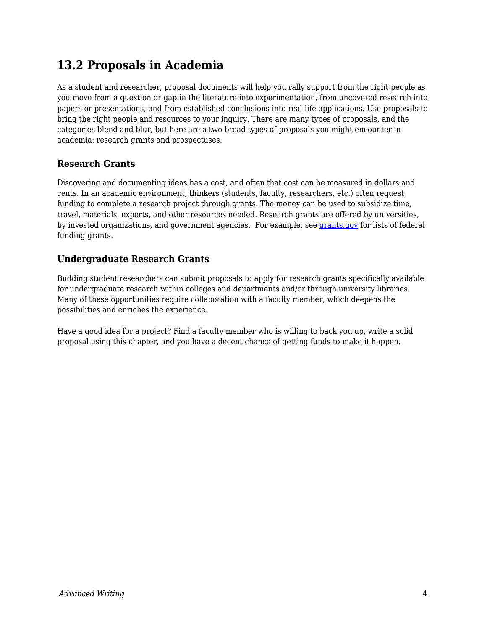# **13.2 Proposals in Academia**

As a student and researcher, proposal documents will help you rally support from the right people as you move from a question or gap in the literature into experimentation, from uncovered research into papers or presentations, and from established conclusions into real-life applications. Use proposals to bring the right people and resources to your inquiry. There are many types of proposals, and the categories blend and blur, but here are a two broad types of proposals you might encounter in academia: research grants and prospectuses.

# **Research Grants**

Discovering and documenting ideas has a cost, and often that cost can be measured in dollars and cents. In an academic environment, thinkers (students, faculty, researchers, etc.) often request funding to complete a research project through grants. The money can be used to subsidize time, travel, materials, experts, and other resources needed. Research grants are offered by universities, by invested organizations, and government agencies. For example, see [grants.gov](http://www.grants.gov/) for lists of federal funding grants.

# **Undergraduate Research Grants**

Budding student researchers can submit proposals to apply for research grants specifically available for undergraduate research within colleges and departments and/or through university libraries. Many of these opportunities require collaboration with a faculty member, which deepens the possibilities and enriches the experience.

Have a good idea for a project? Find a faculty member who is willing to back you up, write a solid proposal using this chapter, and you have a decent chance of getting funds to make it happen.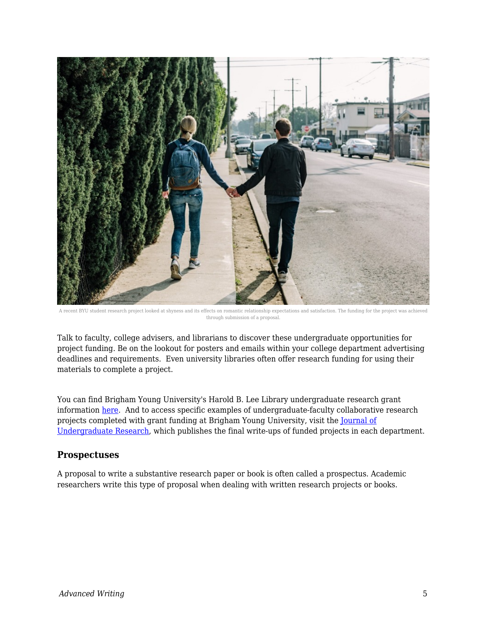

A recent BYU student research project looked at shyness and its effects on romantic relationship expectations and satisfaction. The funding for the project was achi through submission of a proposal.

Talk to faculty, college advisers, and librarians to discover these undergraduate opportunities for project funding. Be on the lookout for posters and emails within your college department advertising deadlines and requirements. Even university libraries often offer research funding for using their materials to complete a project.

You can find Brigham Young University's Harold B. Lee Library undergraduate research grant information [here.](https://lib.byu.edu/services/student-research-grants/) And to access specific examples of undergraduate-faculty collaborative research projects completed with grant funding at Brigham Young University, visit the [Journal of](http://jur.byu.edu/) [Undergraduate Research](http://jur.byu.edu/), which publishes the final write-ups of funded projects in each department.

### **Prospectuses**

A proposal to write a substantive research paper or book is often called a prospectus. Academic researchers write this type of proposal when dealing with written research projects or books.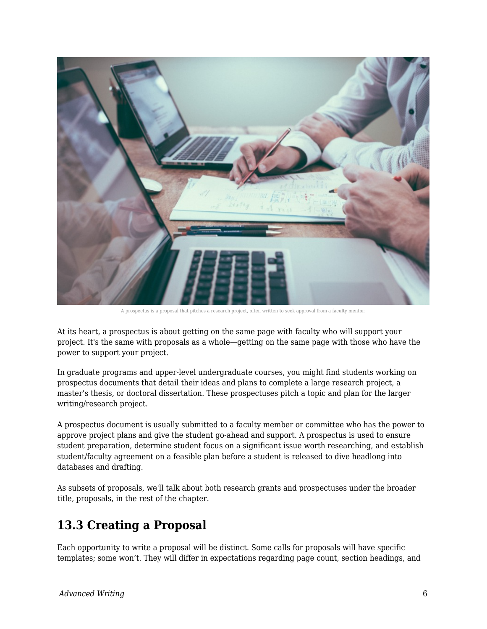

A prospectus is a proposal that pitches a research project, often written to seek approval from a faculty mentor.

At its heart, a prospectus is about getting on the same page with faculty who will support your project. It's the same with proposals as a whole—getting on the same page with those who have the power to support your project.

In graduate programs and upper-level undergraduate courses, you might find students working on prospectus documents that detail their ideas and plans to complete a large research project, a master's thesis, or doctoral dissertation. These prospectuses pitch a topic and plan for the larger writing/research project.

A prospectus document is usually submitted to a faculty member or committee who has the power to approve project plans and give the student go-ahead and support. A prospectus is used to ensure student preparation, determine student focus on a significant issue worth researching, and establish student/faculty agreement on a feasible plan before a student is released to dive headlong into databases and drafting.

As subsets of proposals, we'll talk about both research grants and prospectuses under the broader title, proposals, in the rest of the chapter.

# **13.3 Creating a Proposal**

Each opportunity to write a proposal will be distinct. Some calls for proposals will have specific templates; some won't. They will differ in expectations regarding page count, section headings, and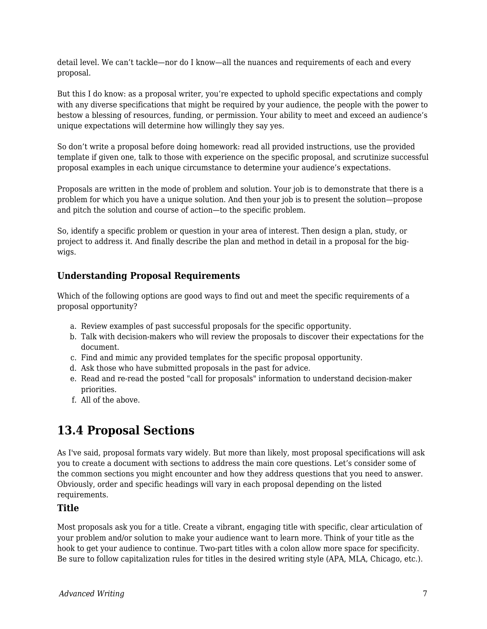detail level. We can't tackle—nor do I know—all the nuances and requirements of each and every proposal.

But this I do know: as a proposal writer, you're expected to uphold specific expectations and comply with any diverse specifications that might be required by your audience, the people with the power to bestow a blessing of resources, funding, or permission. Your ability to meet and exceed an audience's unique expectations will determine how willingly they say yes.

So don't write a proposal before doing homework: read all provided instructions, use the provided template if given one, talk to those with experience on the specific proposal, and scrutinize successful proposal examples in each unique circumstance to determine your audience's expectations.

Proposals are written in the mode of problem and solution. Your job is to demonstrate that there is a problem for which you have a unique solution. And then your job is to present the solution—propose and pitch the solution and course of action—to the specific problem.

So, identify a specific problem or question in your area of interest. Then design a plan, study, or project to address it. And finally describe the plan and method in detail in a proposal for the bigwigs.

## **Understanding Proposal Requirements**

Which of the following options are good ways to find out and meet the specific requirements of a proposal opportunity?

- a. Review examples of past successful proposals for the specific opportunity.
- b. Talk with decision-makers who will review the proposals to discover their expectations for the document.
- c. Find and mimic any provided templates for the specific proposal opportunity.
- d. Ask those who have submitted proposals in the past for advice.
- e. Read and re-read the posted "call for proposals" information to understand decision-maker priorities.
- f. All of the above.

# **13.4 Proposal Sections**

As I've said, proposal formats vary widely. But more than likely, most proposal specifications will ask you to create a document with sections to address the main core questions. Let's consider some of the common sections you might encounter and how they address questions that you need to answer. Obviously, order and specific headings will vary in each proposal depending on the listed requirements.

### **Title**

Most proposals ask you for a title. Create a vibrant, engaging title with specific, clear articulation of your problem and/or solution to make your audience want to learn more. Think of your title as the hook to get your audience to continue. Two-part titles with a colon allow more space for specificity. Be sure to follow capitalization rules for titles in the desired writing style (APA, MLA, Chicago, etc.).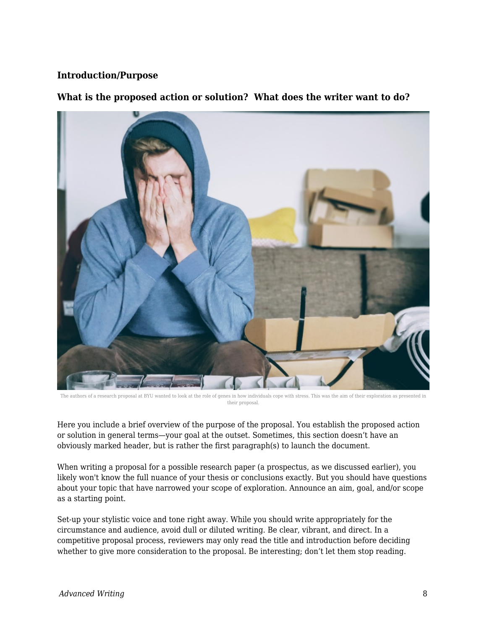### **Introduction/Purpose**

#### **What is the proposed action or solution? What does the writer want to do?**

The authors of a research proposal at BYU wanted to look at the role of genes in how individuals cope with stress. This was the aim of their exploration as presented in their proposal.

Here you include a brief overview of the purpose of the proposal. You establish the proposed action or solution in general terms—your goal at the outset. Sometimes, this section doesn't have an obviously marked header, but is rather the first paragraph(s) to launch the document.

When writing a proposal for a possible research paper (a prospectus, as we discussed earlier), you likely won't know the full nuance of your thesis or conclusions exactly. But you should have questions about your topic that have narrowed your scope of exploration. Announce an aim, goal, and/or scope as a starting point.

Set-up your stylistic voice and tone right away. While you should write appropriately for the circumstance and audience, avoid dull or diluted writing. Be clear, vibrant, and direct. In a competitive proposal process, reviewers may only read the title and introduction before deciding whether to give more consideration to the proposal. Be interesting; don't let them stop reading.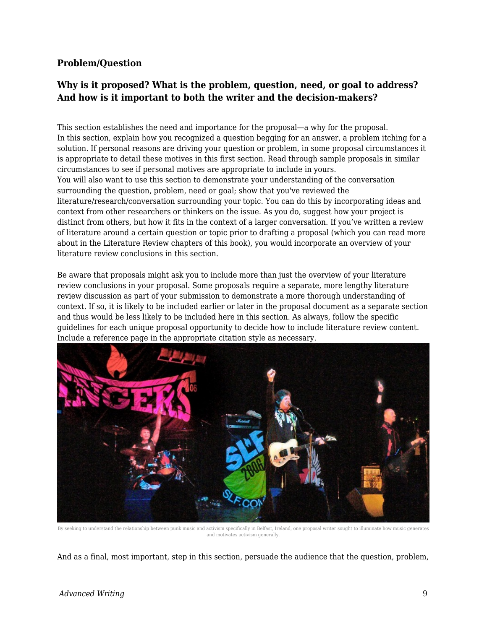### **Problem/Question**

# **Why is it proposed? What is the problem, question, need, or goal to address? And how is it important to both the writer and the decision-makers?**

This section establishes the need and importance for the proposal—a why for the proposal. In this section, explain how you recognized a question begging for an answer, a problem itching for a solution. If personal reasons are driving your question or problem, in some proposal circumstances it is appropriate to detail these motives in this first section. Read through sample proposals in similar circumstances to see if personal motives are appropriate to include in yours. You will also want to use this section to demonstrate your understanding of the conversation surrounding the question, problem, need or goal; show that you've reviewed the literature/research/conversation surrounding your topic. You can do this by incorporating ideas and context from other researchers or thinkers on the issue. As you do, suggest how your project is distinct from others, but how it fits in the context of a larger conversation. If you've written a review of literature around a certain question or topic prior to drafting a proposal (which you can read more about in the Literature Review chapters of this book), you would incorporate an overview of your literature review conclusions in this section.

Be aware that proposals might ask you to include more than just the overview of your literature review conclusions in your proposal. Some proposals require a separate, more lengthy literature review discussion as part of your submission to demonstrate a more thorough understanding of context. If so, it is likely to be included earlier or later in the proposal document as a separate section and thus would be less likely to be included here in this section. As always, follow the specific guidelines for each unique proposal opportunity to decide how to include literature review content. Include a reference page in the appropriate citation style as necessary.



By seeking to understand the relationship between punk music and activism specifically in Belfast, Ireland, one proposal writer sought to illuminate how music generates and motivates activism generally.

And as a final, most important, step in this section, persuade the audience that the question, problem,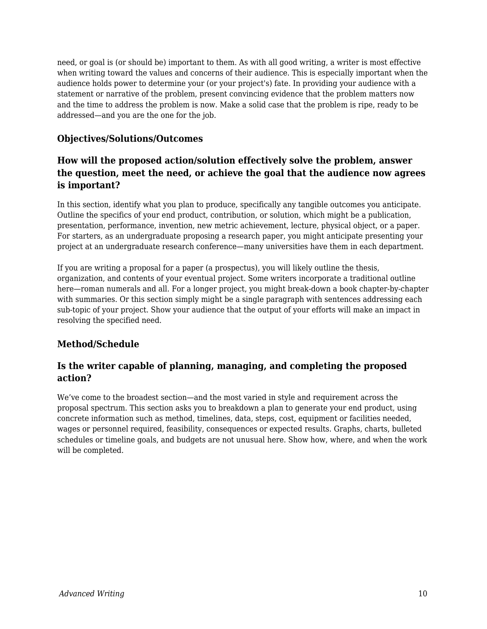need, or goal is (or should be) important to them. As with all good writing, a writer is most effective when writing toward the values and concerns of their audience. This is especially important when the audience holds power to determine your (or your project's) fate. In providing your audience with a statement or narrative of the problem, present convincing evidence that the problem matters now and the time to address the problem is now. Make a solid case that the problem is ripe, ready to be addressed—and you are the one for the job.

### **Objectives/Solutions/Outcomes**

# **How will the proposed action/solution effectively solve the problem, answer the question, meet the need, or achieve the goal that the audience now agrees is important?**

In this section, identify what you plan to produce, specifically any tangible outcomes you anticipate. Outline the specifics of your end product, contribution, or solution, which might be a publication, presentation, performance, invention, new metric achievement, lecture, physical object, or a paper. For starters, as an undergraduate proposing a research paper, you might anticipate presenting your project at an undergraduate research conference—many universities have them in each department.

If you are writing a proposal for a paper (a prospectus), you will likely outline the thesis, organization, and contents of your eventual project. Some writers incorporate a traditional outline here—roman numerals and all. For a longer project, you might break-down a book chapter-by-chapter with summaries. Or this section simply might be a single paragraph with sentences addressing each sub-topic of your project. Show your audience that the output of your efforts will make an impact in resolving the specified need.

# **Method/Schedule**

# **Is the writer capable of planning, managing, and completing the proposed action?**

We've come to the broadest section—and the most varied in style and requirement across the proposal spectrum. This section asks you to breakdown a plan to generate your end product, using concrete information such as method, timelines, data, steps, cost, equipment or facilities needed, wages or personnel required, feasibility, consequences or expected results. Graphs, charts, bulleted schedules or timeline goals, and budgets are not unusual here. Show how, where, and when the work will be completed.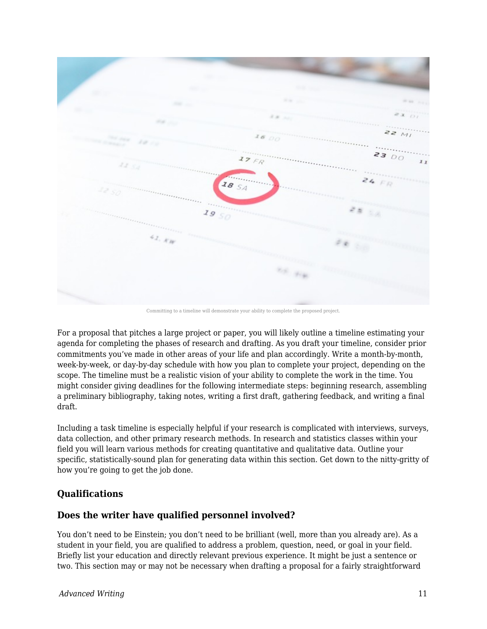

Committing to a timeline will demonstrate your ability to complete the proposed project.

For a proposal that pitches a large project or paper, you will likely outline a timeline estimating your agenda for completing the phases of research and drafting. As you draft your timeline, consider prior commitments you've made in other areas of your life and plan accordingly. Write a month-by-month, week-by-week, or day-by-day schedule with how you plan to complete your project, depending on the scope. The timeline must be a realistic vision of your ability to complete the work in the time. You might consider giving deadlines for the following intermediate steps: beginning research, assembling a preliminary bibliography, taking notes, writing a first draft, gathering feedback, and writing a final draft.

Including a task timeline is especially helpful if your research is complicated with interviews, surveys, data collection, and other primary research methods. In research and statistics classes within your field you will learn various methods for creating quantitative and qualitative data. Outline your specific, statistically-sound plan for generating data within this section. Get down to the nitty-gritty of how you're going to get the job done.

### **Qualifications**

### **Does the writer have qualified personnel involved?**

You don't need to be Einstein; you don't need to be brilliant (well, more than you already are). As a student in your field, you are qualified to address a problem, question, need, or goal in your field. Briefly list your education and directly relevant previous experience. It might be just a sentence or two. This section may or may not be necessary when drafting a proposal for a fairly straightforward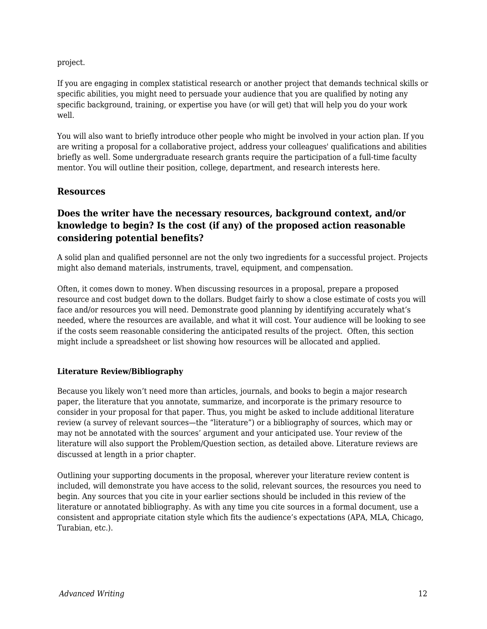project.

If you are engaging in complex statistical research or another project that demands technical skills or specific abilities, you might need to persuade your audience that you are qualified by noting any specific background, training, or expertise you have (or will get) that will help you do your work well.

You will also want to briefly introduce other people who might be involved in your action plan. If you are writing a proposal for a collaborative project, address your colleagues' qualifications and abilities briefly as well. Some undergraduate research grants require the participation of a full-time faculty mentor. You will outline their position, college, department, and research interests here.

### **Resources**

# **Does the writer have the necessary resources, background context, and/or knowledge to begin? Is the cost (if any) of the proposed action reasonable considering potential benefits?**

A solid plan and qualified personnel are not the only two ingredients for a successful project. Projects might also demand materials, instruments, travel, equipment, and compensation.

Often, it comes down to money. When discussing resources in a proposal, prepare a proposed resource and cost budget down to the dollars. Budget fairly to show a close estimate of costs you will face and/or resources you will need. Demonstrate good planning by identifying accurately what's needed, where the resources are available, and what it will cost. Your audience will be looking to see if the costs seem reasonable considering the anticipated results of the project. Often, this section might include a spreadsheet or list showing how resources will be allocated and applied.

#### **Literature Review/Bibliography**

Because you likely won't need more than articles, journals, and books to begin a major research paper, the literature that you annotate, summarize, and incorporate is the primary resource to consider in your proposal for that paper. Thus, you might be asked to include additional literature review (a survey of relevant sources—the "literature") or a bibliography of sources, which may or may not be annotated with the sources' argument and your anticipated use. Your review of the literature will also support the Problem/Question section, as detailed above. Literature reviews are discussed at length in a prior chapter.

Outlining your supporting documents in the proposal, wherever your literature review content is included, will demonstrate you have access to the solid, relevant sources, the resources you need to begin. Any sources that you cite in your earlier sections should be included in this review of the literature or annotated bibliography. As with any time you cite sources in a formal document, use a consistent and appropriate citation style which fits the audience's expectations (APA, MLA, Chicago, Turabian, etc.).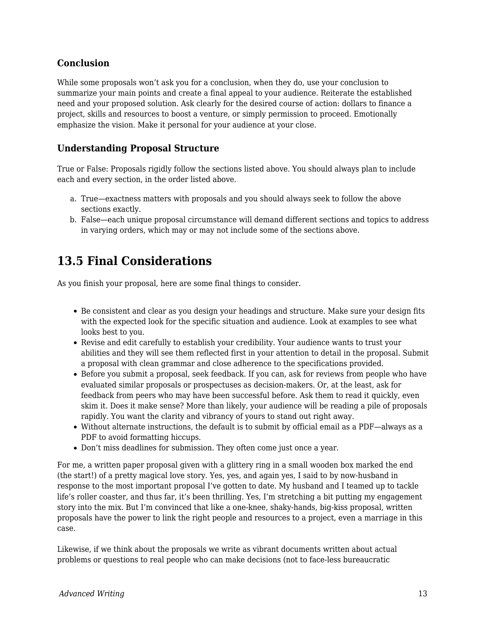# **Conclusion**

While some proposals won't ask you for a conclusion, when they do, use your conclusion to summarize your main points and create a final appeal to your audience. Reiterate the established need and your proposed solution. Ask clearly for the desired course of action: dollars to finance a project, skills and resources to boost a venture, or simply permission to proceed. Emotionally emphasize the vision. Make it personal for your audience at your close.

### **Understanding Proposal Structure**

True or False: Proposals rigidly follow the sections listed above. You should always plan to include each and every section, in the order listed above.

- a. True—exactness matters with proposals and you should always seek to follow the above sections exactly.
- b. False—each unique proposal circumstance will demand different sections and topics to address in varying orders, which may or may not include some of the sections above.

# **13.5 Final Considerations**

As you finish your proposal, here are some final things to consider.

- Be consistent and clear as you design your headings and structure. Make sure your design fits with the expected look for the specific situation and audience. Look at examples to see what looks best to you.
- Revise and edit carefully to establish your credibility. Your audience wants to trust your abilities and they will see them reflected first in your attention to detail in the proposal. Submit a proposal with clean grammar and close adherence to the specifications provided.
- Before you submit a proposal, seek feedback. If you can, ask for reviews from people who have evaluated similar proposals or prospectuses as decision-makers. Or, at the least, ask for feedback from peers who may have been successful before. Ask them to read it quickly, even skim it. Does it make sense? More than likely, your audience will be reading a pile of proposals rapidly. You want the clarity and vibrancy of yours to stand out right away.
- Without alternate instructions, the default is to submit by official email as a PDF—always as a PDF to avoid formatting hiccups.
- Don't miss deadlines for submission. They often come just once a year.

For me, a written paper proposal given with a glittery ring in a small wooden box marked the end (the start!) of a pretty magical love story. Yes, yes, and again yes, I said to by now-husband in response to the most important proposal I've gotten to date. My husband and I teamed up to tackle life's roller coaster, and thus far, it's been thrilling. Yes, I'm stretching a bit putting my engagement story into the mix. But I'm convinced that like a one-knee, shaky-hands, big-kiss proposal, written proposals have the power to link the right people and resources to a project, even a marriage in this case.

Likewise, if we think about the proposals we write as vibrant documents written about actual problems or questions to real people who can make decisions (not to face-less bureaucratic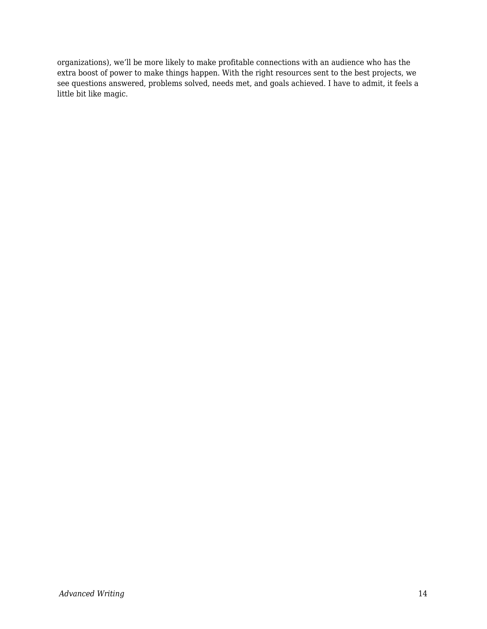organizations), we'll be more likely to make profitable connections with an audience who has the extra boost of power to make things happen. With the right resources sent to the best projects, we see questions answered, problems solved, needs met, and goals achieved. I have to admit, it feels a little bit like magic.